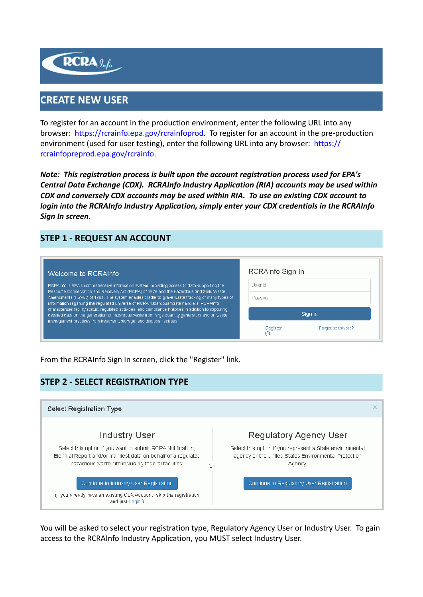

# **CREATE NEW USER**

To register for an account in the production environment, enter the following URL into any browser: <https://rcrainfo.epa.gov/rcrainfoprod>. To register for an account in the pre-production environment (used for user testing), enter the following URL into any browser: [https://](https://rcrainfopreprod.epa.gov/rcrainfo) [rcrainfopreprod.epa.gov/rcrainfo](https://rcrainfopreprod.epa.gov/rcrainfo).

*Note: This registration process is built upon the account registration process used for EPA's Central Data Exchange (CDX). RCRAInfo Industry Application (RIA) accounts may be used within CDX and conversely CDX accounts may be used within RIA. To use an existing CDX account to login into the RCRAInfo Industry Application, simply enter your CDX credentials in the RCRAInfo Sign In screen.*

# **STEP 1 - REQUEST AN ACCOUNT**

| Welcome to RCRAInfo                                                                                                                                                                                                                                                                 | RCRAInfo Sign In             |  |  |
|-------------------------------------------------------------------------------------------------------------------------------------------------------------------------------------------------------------------------------------------------------------------------------------|------------------------------|--|--|
| RCRAInfo is EPA's comprehensive information system, providing access to data supporting the                                                                                                                                                                                         | User Id                      |  |  |
| Resource Conservation and Recovery Act (RCRA) of 1976 and the Hazardous and Solid Waste<br>Amendments (HSWA) of 1984. The system enables cradle-to-grave waste tracking of many types of<br>information regarding the regulated universe of RCRA hazardous waste handlers. RCRAInfo | Password                     |  |  |
| characterizes facility status, requlated activities, and compliance histories in addition to capturing<br>detailed data on the generation of hazardous waste from large quantity generators and on waste                                                                            | Sign in                      |  |  |
| management practices from treatment, storage, and disposal facilities.                                                                                                                                                                                                              | Forgot password?<br>Register |  |  |

From the RCRAInfo Sign In screen, click the "Register" link.

## **STEP 2 - SELECT REGISTRATION TYPE**

| <b>Select Registration Type</b>                                                                                                                                                    |                                                                                                                                    |
|------------------------------------------------------------------------------------------------------------------------------------------------------------------------------------|------------------------------------------------------------------------------------------------------------------------------------|
| Industry User                                                                                                                                                                      | Regulatory Agency User                                                                                                             |
| Select this option if you want to submit RCRA Notification.<br>Biennial Report and/or manifest data on behalf of a regulated<br>hazardous waste site including federal facilities. | Select this option if you represent a State environmental<br>agency or the United States Environmental Protection<br>Agency.<br>ΟR |
| Continue to Industry User Registration<br>(If you already have an existing CDX Account, skip the registration<br>and just Login.)                                                  | Continue to Regulatory User Registration                                                                                           |

You will be asked to select your registration type, Regulatory Agency User or Industry User. To gain access to the RCRAInfo Industry Application, you MUST select Industry User.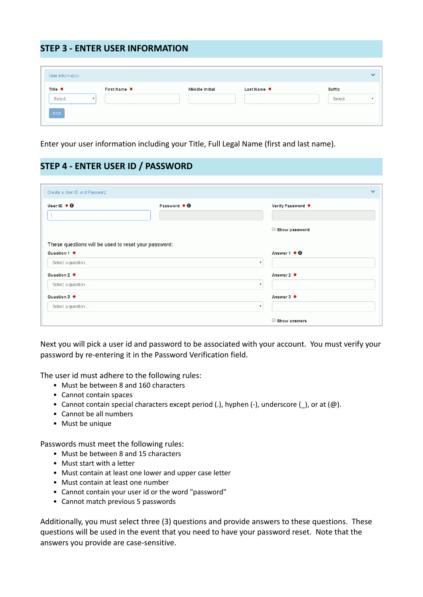#### **STEP 3 - ENTER USER INFORMATION**

| User Information |                           |                |             | $\overline{\phantom{a}}$ |
|------------------|---------------------------|----------------|-------------|--------------------------|
| Title *          | First Name *              | Middle Initial | Last Name * | Suffix                   |
| Select           | $\boldsymbol{\mathrm{v}}$ |                |             | Select<br>$\mathbf{v}$   |
| Next             |                           |                |             |                          |

Enter your user information including your Title, Full Legal Name (first and last name).

## **STEP 4 - ENTER USER ID / PASSWORD**

| Create a User ID and Password                        |                              |                           | $\bullet$ |
|------------------------------------------------------|------------------------------|---------------------------|-----------|
| User ID $\clubsuit$ $\Theta$                         | Password $\bullet$ $\bullet$ | Verify Password *         |           |
|                                                      |                              | Show password             |           |
| These questions will be used to reset your password: |                              |                           |           |
| Question 1 *                                         |                              | Answer $1 * 0$            |           |
| Select a question                                    | $\boldsymbol{\mathrm{v}}$    |                           |           |
| Question 2 *                                         |                              | Answer 2 *                |           |
| Select a question                                    |                              | $\boldsymbol{\mathrm{v}}$ |           |
|                                                      |                              |                           |           |
| Question 3 *                                         |                              | Answer3 *                 |           |
| Select a question                                    |                              | $\boldsymbol{\mathrm{v}}$ |           |

Next you will pick a user id and password to be associated with your account. You must verify your password by re-entering it in the Password Verification field.

The user id must adhere to the following rules:

- Must be between 8 and 160 characters
- Cannot contain spaces
- Cannot contain special characters except period (.), hyphen (-), underscore (\_), or at (@).
- Cannot be all numbers
- Must be unique

Passwords must meet the following rules:

- Must be between 8 and 15 characters
- Must start with a letter
- Must contain at least one lower and upper case letter
- Must contain at least one number
- Cannot contain your user id or the word "password"
- Cannot match previous 5 passwords

Additionally, you must select three (3) questions and provide answers to these questions. These questions will be used in the event that you need to have your password reset. Note that the answers you provide are case-sensitive.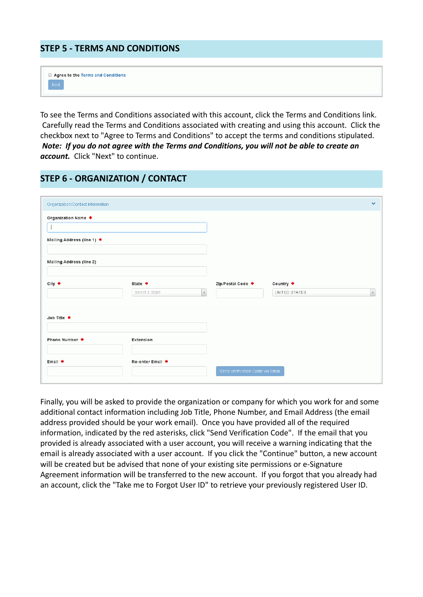#### **STEP 5 - TERMS AND CONDITIONS**

|  |       |  |  | Agree to the Terms and Conditions |  |
|--|-------|--|--|-----------------------------------|--|
|  | Next. |  |  |                                   |  |

To see the Terms and Conditions associated with this account, click the Terms and Conditions link. Carefully read the Terms and Conditions associated with creating and using this account. Click the checkbox next to "Agree to Terms and Conditions" to accept the terms and conditions stipulated. *Note: If you do not agree with the Terms and Conditions, you will not be able to create an account.* Click "Next" to continue.

### **STEP 6 - ORGANIZATION / CONTACT**

| Organization/Contact Information |                           |              |                                  |                            | $\checkmark$       |
|----------------------------------|---------------------------|--------------|----------------------------------|----------------------------|--------------------|
| Organization Name *              |                           |              |                                  |                            |                    |
| Mailing Address (line 1) *       |                           |              |                                  |                            |                    |
| <b>Mailing Address (line 2)</b>  |                           |              |                                  |                            |                    |
| $City$ $*$                       | State *<br>Select a State | $\mathbf{v}$ | Zip/Postal Code *                | Country *<br>UNITED STATES | $\bar{\mathbf{v}}$ |
| Job Title *                      |                           |              |                                  |                            |                    |
|                                  |                           |              |                                  |                            |                    |
| Phone Number *                   | Extension                 |              |                                  |                            |                    |
| Email *                          | Re-enter Email *          |              | Send Verification Code via Email |                            |                    |
|                                  |                           |              |                                  |                            |                    |

Finally, you will be asked to provide the organization or company for which you work for and some additional contact information including Job Title, Phone Number, and Email Address (the email address provided should be your work email). Once you have provided all of the required information, indicated by the red asterisks, click "Send Verification Code". If the email that you provided is already associated with a user account, you will receive a warning indicating that the email is already associated with a user account. If you click the "Continue" button, a new account will be created but be advised that none of your existing site permissions or e-Signature Agreement information will be transferred to the new account. If you forgot that you already had an account, click the "Take me to Forgot User ID" to retrieve your previously registered User ID.